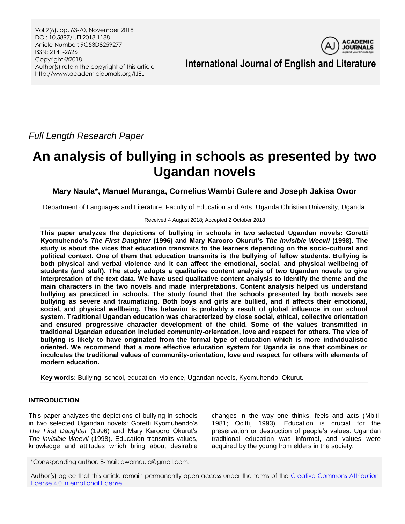Vol.9(6), pp. 63-70, November 2018 DOI: 10.5897/IJEL2018.1188 Article Number: 9C53D8259277 ISSN: 2141-2626 Copyright ©2018 Author(s) retain the copyright of this article http://www.academicjournals.org/IJEL



*Full Length Research Paper*

# **An analysis of bullying in schools as presented by two Ugandan novels**

## **Mary Naula\*, Manuel Muranga, Cornelius Wambi Gulere and Joseph Jakisa Owor**

Department of Languages and Literature, Faculty of Education and Arts, Uganda Christian University, Uganda.

### Received 4 August 2018; Accepted 2 October 2018

**This paper analyzes the depictions of bullying in schools in two selected Ugandan novels: Goretti Kyomuhendo's** *The First Daughter* **(1996) and Mary Karooro Okurut's** *The invisible Weevil* **(1998). The study is about the vices that education transmits to the learners depending on the socio-cultural and political context. One of them that education transmits is the bullying of fellow students. Bullying is both physical and verbal violence and it can affect the emotional, social, and physical wellbeing of students (and staff). The study adopts a qualitative content analysis of two Ugandan novels to give interpretation of the text data. We have used qualitative content analysis to identify the theme and the main characters in the two novels and made interpretations. Content analysis helped us understand bullying as practiced in schools. The study found that the schools presented by both novels see bullying as severe and traumatizing. Both boys and girls are bullied, and it affects their emotional, social, and physical wellbeing. This behavior is probably a result of global influence in our school system. Traditional Ugandan education was characterized by close social, ethical, collective orientation and ensured progressive character development of the child. Some of the values transmitted in traditional Ugandan education included community-orientation, love and respect for others. The vice of bullying is likely to have originated from the formal type of education which is more individualistic oriented. We recommend that a more effective education system for Uganda is one that combines or inculcates the traditional values of community-orientation, love and respect for others with elements of modern education.**

**Key words:** Bullying, school, education, violence, Ugandan novels, Kyomuhendo, Okurut.

### **INTRODUCTION**

This paper analyzes the depictions of bullying in schools in two selected Ugandan novels: Goretti Kyomuhendo"s *The First Daughter* (1996) and Mary Karooro Okurut"s *The invisible Weevil* (1998). Education transmits values, knowledge and attitudes which bring about desirable

changes in the way one thinks, feels and acts (Mbiti, 1981; Ocitti, 1993). Education is crucial for the preservation or destruction of people"s values. Ugandan traditional education was informal, and values were acquired by the young from elders in the society.

Author(s) agree that this article remain permanently open access under the terms of the Creative Commons Attribution [License 4.0 International License](http://creativecommons.org/licenses/by/4.0/deed.en_US)

<sup>\*</sup>Corresponding author. E-mail: owornaula@gmail.com.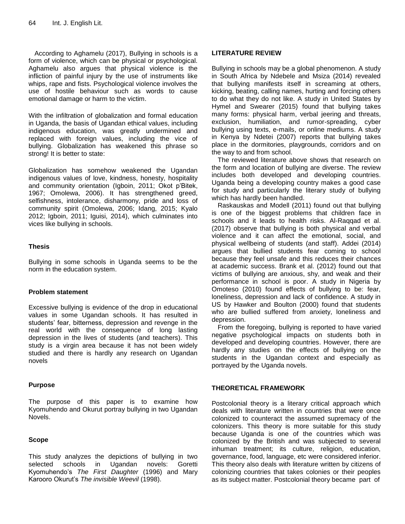According to Aghamelu (2017), Bullying in schools is a form of violence, which can be physical or psychological. Aghamelu also argues that physical violence is the infliction of painful injury by the use of instruments like whips, rape and fists. Psychological violence involves the use of hostile behaviour such as words to cause emotional damage or harm to the victim.

With the infiltration of globalization and formal education in Uganda, the basis of Ugandan ethical values, including indigenous education, was greatly undermined and replaced with foreign values, including the vice of bullying. Globalization has weakened this phrase so strong! It is better to state:

Globalization has somehow weakened the Ugandan indigenous values of love, kindness, honesty, hospitality and community orientation (Igboin, 2011; Okot p"Bitek, 1967; Omolewa, 2006). It has strengthened greed, selfishness, intolerance, disharmony, pride and loss of community spirit (Omolewa, 2006; Idang, 2015; Kyalo 2012; Igboin, 2011; Iguisi, 2014), which culminates into vices like bullying in schools.

### **Thesis**

Bullying in some schools in Uganda seems to be the norm in the education system.

### **Problem statement**

Excessive bullying is evidence of the drop in educational values in some Ugandan schools. It has resulted in students' fear, bitterness, depression and revenge in the real world with the consequence of long lasting depression in the lives of students (and teachers). This study is a virgin area because it has not been widely studied and there is hardly any research on Ugandan novels

### **Purpose**

The purpose of this paper is to examine how Kyomuhendo and Okurut portray bullying in two Ugandan Novels.

### **Scope**

This study analyzes the depictions of bullying in two selected schools in Ugandan novels: Goretti Kyomuhendo"s *The First Daughter* (1996) and Mary Karooro Okurut"s *The invisible Weevil* (1998).

### **LITERATURE REVIEW**

Bullying in schools may be a global phenomenon. A study in South Africa by Ndebele and Msiza (2014) revealed that bullying manifests itself in screaming at others, kicking, beating, calling names, hurting and forcing others to do what they do not like. A study in United States by Hymel and Swearer (2015) found that bullying takes many forms: physical harm, verbal jeering and threats, exclusion, humiliation, and rumor-spreading, cyber bullying using texts, e-mails, or online mediums. A study in Kenya by Ndetei (2007) reports that bullying takes place in the dormitories, playgrounds, corridors and on the way to and from school.

The reviewed literature above shows that research on the form and location of bullying are diverse. The review includes both developed and developing countries. Uganda being a developing country makes a good case for study and particularly the literary study of bullying which has hardly been handled.

Raskauskas and Modell (2011) found out that bullying is one of the biggest problems that children face in schools and it leads to health risks. Al-Raqqad et al. (2017) observe that bullying is both physical and verbal violence and it can affect the emotional, social, and physical wellbeing of students (and staff). Addei (2014) argues that bullied students fear coming to school because they feel unsafe and this reduces their chances at academic success. Brank et al. (2012) found out that victims of bullying are anxious, shy, and weak and their performance in school is poor. A study in Nigeria by Omoteso (2010) found effects of bullying to be: fear, loneliness, depression and lack of confidence. A study in US by Hawker and Boulton (2000) found that students who are bullied suffered from anxiety, loneliness and depression.

From the foregoing, bullying is reported to have varied negative psychological impacts on students both in developed and developing countries. However, there are hardly any studies on the effects of bullying on the students in the Ugandan context and especially as portrayed by the Uganda novels.

### **THEORETICAL FRAMEWORK**

Postcolonial theory is a literary critical approach which deals with literature written in countries that were once colonized to counteract the assumed supremacy of the colonizers. This theory is more suitable for this study because Uganda is one of the countries which was colonized by the British and was subjected to several inhuman treatment; its culture, religion, education, governance, food, language, etc were considered inferior. This theory also deals with literature written by citizens of colonizing countries that takes colonies or their peoples as its subject matter. Postcolonial theory became part of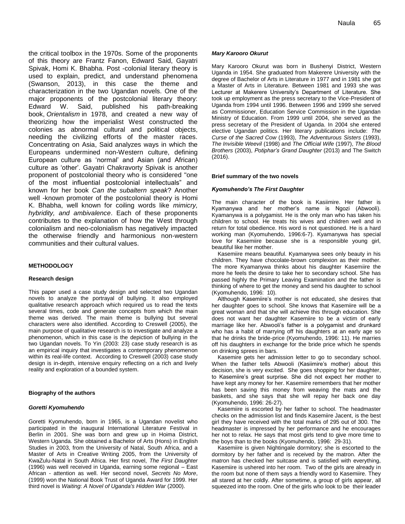the critical toolbox in the 1970s. Some of the proponents of this theory are Frantz Fanon, Edward Said, Gayatri Spivak, Homi K. Bhabha. Post -colonial literary theory is used to explain, predict, and understand phenomena (Swanson, 2013), in this case the theme and characterization in the two Ugandan novels. One of the major proponents of the postcolonial literary theory: Edward W. Said, published his path-breaking book, *Orientalism* in 1978, and created a new way of theorizing how the imperialist West constructed the colonies as abnormal cultural and political objects, needing the civilizing efforts of the master races. Concentrating on Asia, Said analyzes ways in which the Europeans undermined non-Western culture, defining European culture as "normal" and Asian (and African) culture as "other". Gayatri Chakravorty Spivak is another proponent of postcolonial theory who is considered "one of the most influential postcolonial intellectuals" and known for her book *Can the subaltern speak*? Another well -known promoter of the postcolonial theory is Homi K. Bhabha, well known for coiling words like *mimicry, hybridity, and ambivalence*. Each of these proponents contributes to the explanation of how the West through colonialism and neo-colonialism has negatively impacted the otherwise friendly and harmonious non-western communities and their cultural values.

### **METHODOLOGY**

#### **Research design**

This paper used a case study design and selected two Ugandan novels to analyze the portrayal of bullying. It also employed qualitative research approach which required us to read the texts several times, code and generate concepts from which the main theme was derived. The main theme is bullying but several characters were also identified. According to Creswell (2005), the main purpose of qualitative research is to investigate and analyze a phenomenon, which in this case is the depiction of bullying in the two Ugandan novels. To Yin (2003: 23) case study research is as an empirical inquiry that investigates a contemporary phenomenon within its real-life context. According to Creswell (2003) case study design is in-depth, intensive enquiry reflecting on a rich and lively reality and exploration of a bounded system.

#### **Biography of the authors**

#### *Goretti Kyomuhendo*

Goretti Kyomuhendo, born in 1965, is a Ugandan novelist who participated in the inaugural International Literature Festival in Berlin in 2001. She was born and grew up in Hoima District, Western Uganda. She obtained a Bachelor of Arts (Hons) in English Studies in 2003, from the University of Natal, South Africa, and a Master of Arts in Creative Writing 2005, from the University of KwaZulu-Natal in South Africa. Her first novel, *The First Daughter* (1996) was well received in Uganda, earning some regional – East African - attention as well. Her second novel, *Secrets No More*, (1999) won the National Book Trust of Uganda Award for 1999. Her third novel is *Waiting*: *A Novel of Uganda's Hidden War* (2000).

#### *Mary Karooro Okurut*

Mary Karooro Okurut was born in Bushenyi District, Western Uganda in 1954. She graduated from Makerere University with the degree of Bachelor of Arts in Literature in 1977 and in 1981 she got a Master of Arts in Literature. Between 1981 and 1993 she was Lecturer at Makerere University"s Department of Literature. She took up employment as the press secretary to the Vice-President of Uganda from 1994 until 1996. Between 1996 and 1999 she served as Commissioner, Education Service Commission in the Ugandan Ministry of Education. From 1999 until 2004, she served as the press secretary of the President of Uganda. In 2004 she entered elective Ugandan politics. Her literary publications include: *The Curse of the Sacred Cow* (1993), *The Adventurous Sisters* (1993), *The Invisible Weevil* (1998) and *The Official Wife* (1997), *The Blood Brothers* (2003), *Potiphar's Grand Daughter* (2013) and The Switch (2016).

#### **Brief summary of the two novels**

#### *Kyomuhendo's The First Daughter*

The main character of the book is Kasiimire. Her father is Kyamanywa and her mother"s name is Ngozi (Abwooli). Kyamanywa is a polygamist. He is the only man who has taken his children to school. He treats his wives and children well and in return for total obedience. His word is not questioned. He is a hard working man (Kyomuhendo, 1996:6-7). Kyamanywa has special love for Kasemiire because she is a responsible young girl, beautiful like her mother.

Kasemiire means beautiful. Kyamanywa sees only beauty in his children. They have chocolate-brown complexion as their mother. The more Kyamanywa thinks about his daughter Kasemiire the more he feels the desire to take her to secondary school. She has passed highly the Primary Leaving Examination and the father is thinking of where to get the money and send his daughter to school (Kyomuhendo, 1996: 10).

Although Kasemiire's mother is not educated, she desires that her daughter goes to school. She knows that Kasemiire will be a great woman and that she will achieve this through education. She does not want her daughter Kasemiire to be a victim of early marriage like her. Abwooli's father is a polygamist and drunkard who has a habit of marrying off his daughters at an early age so that he drinks the bride-price (Kyomuhendo, 1996: 11). He marries off his daughters in exchange for the bride price which he spends on drinking sprees in bars.

Kasemire gets her admission letter to go to secondary school. When the father tells Abwooli (Kasiimire's mother) about this decision, she is very excited. She goes shopping for her daughter, to Kasemiire"s great surprise. She did not expect her mother to have kept any money for her. Kasemiire remembers that her mother has been saving this money from weaving the mats and the baskets, and she says that she will repay her back one day (Kyomuhendo, 1996: 26-27).

Kasemiire is escorted by her father to school. The headmaster checks on the admission list and finds Kasemiire Jacent, is the best girl they have received with the total marks of 295 out of 300. The headmaster is impressed by her performance and he encourages her not to relax. He says that most girls tend to give more time to the boys than to the books (Kyomuhendo, 1996: 29-31).

Kasemiire is given Nightingale dormitory; she is escorted to the dormitory by her father and is received by the matron. After the matron has checked her suitcase and is satisfied with everything, Kasemiire is ushered into her room. Two of the girls are already in the room but none of them says a friendly word to Kasemiire. They all stared at her coldly. After sometime, a group of girls appear, all squeezed into the room. One of the girls who look to be their leader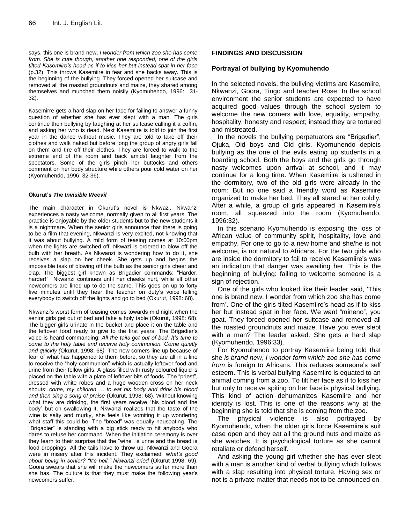says, this one is brand new, *I wonder from which zoo she has come from. She is cute though, another one responded, one of the girls tilted Kasemiire's head as if to kiss her but instead spat in her face* (p.32). This throws Kasemiire in fear and she backs away. This is the beginning of the bullying. They forced opened her suitcase and removed all the roasted groundnuts and maize, they shared among themselves and munched them noisily (Kyomuhendo, 1996: 31- 32).

Kasemirre gets a hard slap on her face for failing to answer a funny question of whether she has ever slept with a man. The girls continue their bullying by laughing at her suitcase calling it a coffin, and asking her who is dead. Next Kasemiire is told to join the first year in the dance without music. They are told to take off their clothes and walk naked but before long the group of angry girls fall on them and tire off their clothes. They are forced to walk to the extreme end of the room and back amidst laughter from the spectators. Some of the girls pinch her buttocks and others comment on her body structure while others pour cold water on her (Kyomuhendo, 1996: 32-36).

### **Okurut's** *The Invisible Weevil*

The main character in Okurut's novel is Nkwazi. Nkwanzi experiences a nasty welcome, normally given to all first years. The practice is enjoyable by the older students but to the new students it is a nightmare. When the senior girls announce that there is going to be a film that evening, Nkwanzi is very excited, not knowing that it was about bullying. A mild form of teasing comes at 10:00pm when the lights are switched off. Nkwazi is ordered to blow off the bulb with her breath. As Nkwanzi is wondering how to do it, she receives a slap on her cheek. She gets up and begins the impossible task of blowing off the bulb as the senior girls cheer and clap. The biggest girl known as Brigadier commands: "Harder, harder!" Nkwanzi continues until her cheeks hurt, while all other newcomers are lined up to do the same. This goes on up to forty five minutes until they hear the teacher on duty's voice telling everybody to switch off the lights and go to bed (Okurut, 1998: 68).

Nkwanzi"s worst form of teasing comes towards mid night when the senior girls get out of bed and fake a holy table (Okurut, 1998; 68). The bigger girls urinate in the bucket and place it on the table and the leftover food ready to give to the first years. The Brigadier"s voice is heard commanding: *All the tails get out of bed. It's time to come to the holy table and receive holy communion. Come quietly and quickly (*Okurut, 1998: 68*).* The new comers line up because of fear of what has happened to them before, so they are all in a line to receive the "holy communion" which is actually leftover food and urine from their fellow girls. A glass filled with rusty coloured liquid is placed on the table with a plate of leftover bits of foods. The "priest", dressed with white robes and a huge wooden cross on her neck shouts: *come, my children … to eat his body and drink his blood and then sing a song of praise* (Okurut, 1998: 68). Without knowing what they are drinking, the first years receive "his blood and the body" but on swallowing it, Nkwanzi realizes that the taste of the wine is salty and murky, she feels like vomiting it up wondering what staff this could be. The "bread" was equally nauseating. The "Brigadier" is standing with a big stick ready to hit anybody who dares to refuse her command. When the initiation ceremony is over they learn to their surprise that the "wine" is urine and the bread is food droppings. All the tails have to throw up. Nkwanzi and Goora were in misery after this incident. They exclaimed: w*hat's good about being in senior? "It's hell," Nkwanzi cried* (Okurut 1998: 69). Goora swears that she will make the newcomers suffer more than she has. The culture is that they must make the following year's newcomers suffer.

### **FINDINGS AND DISCUSSION**

### **Portrayal of bullying by Kyomuhendo**

In the selected novels, the bullying victims are Kasemiire, Nkwanzi, Goora, Tingo and teacher Rose. In the school environment the senior students are expected to have acquired good values through the school system to welcome the new comers with love, equality, empathy, hospitality, honesty and respect; instead they are tortured and mistreated.

In the novels the bullying perpetuators are "Brigadier", Ojuka, Old boys and Old girls. Kyomuhendo depicts bullying as the one of the evils eating up students in a boarding school. Both the boys and the girls go through nasty welcomes upon arrival at school, and it may continue for a long time. When Kasemiire is ushered in the dormitory, two of the old girls were already in the room: But no one said a friendly word as Kasemiire organized to make her bed. They all stared at her coldly. After a while, a group of girls appeared in Kasemiire's room, all squeezed into the room (Kyomuhendo, 1996:32).

In this scenario Kyomuhendo is exposing the loss of African value of community spirit, hospitality, love and empathy. For one to go to a new home and she/he is not welcome, is not natural to Africans. For the two girls who are inside the dormitory to fail to receive Kasemiire"s was an indication that danger was awaiting her. This is the beginning of bullying: failing to welcome someone is a sign of rejection.

One of the girls who looked like their leader said, "This one is brand new, I wonder from which zoo she has come from'. One of the girls tilted Kasemiire's head as if to kiss her but instead spat in her face. We want "mineno", you goat. They forced opened her suitcase and removed all the roasted groundnuts and maize. Have you ever slept with a man? The leader asked. She gets a hard slap (Kyomuhendo, 1996:33).

For Kyomuhendo to portray Kasemiire being told that she *is brand new*, *I wonder form which zoo she has come from* is foreign to Africans. This reduces someone's self esteem. This is verbal bullying Kasemiire is equated to an animal coming from a zoo. To tilt her face as if to kiss her but only to receive spiting on her face is physical bullying. This kind of action dehumanizes Kasemiire and her identity is lost. This is one of the reasons why at the beginning she is told that she is coming from the zoo.

The physical violence is also portrayed by Kyomuhendo, when the older girls force Kasemiire's suit case open and they eat all the ground nuts and maize as she watches. It is psychological torture as she cannot retaliate or defend herself.

And asking the young girl whether she has ever slept with a man is another kind of verbal bullying which follows with a slap resulting into physical torture. Having sex or not is a private matter that needs not to be announced on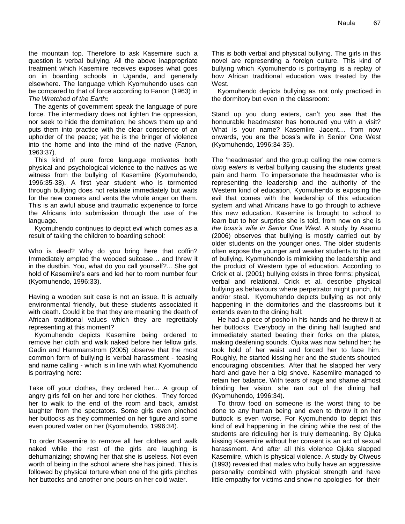the mountain top. Therefore to ask Kasemiire such a question is verbal bullying. All the above inappropriate treatment which Kasemiire receives exposes what goes on in boarding schools in Uganda, and generally elsewhere. The language which Kyomuhendo uses can be compared to that of force according to Fanon (1963) in *The Wretched of the Earth***:**

The agents of government speak the language of pure force. The intermediary does not lighten the oppression, nor seek to hide the domination; he shows them up and puts them into practice with the clear conscience of an upholder of the peace; yet he is the bringer of violence into the home and into the mind of the native (Fanon, 1963:37).

This kind of pure force language motivates both physical and psychological violence to the natives as we witness from the bullying of Kasemiire (Kyomuhendo, 1996:35-38). A first year student who is tormented through bullying does not retaliate immediately but waits for the new comers and vents the whole anger on them. This is an awful abuse and traumatic experience to force the Africans into submission through the use of the language.

Kyomuhendo continues to depict evil which comes as a result of taking the children to boarding school*:*

Who is dead? Why do you bring here that coffin? Immediately empted the wooded suitcase… and threw it in the dustbin. You, what do you call yourself?... She got hold of Kasemiire's ears and led her to room number four (Kyomuhendo, 1996:33).

Having a wooden suit case is not an issue. It is actually environmental friendly, but these students associated it with death. Could it be that they are meaning the death of African traditional values which they are regrettably representing at this moment?

Kyomuhendo depicts Kasemiire being ordered to remove her cloth and walk naked before her fellow girls. Gadin and Hammarrstrom (2005) observe that the most common form of bullying is verbal harassment - teasing and name calling - which is in line with what Kyomuhendo is portraying here:

Take off your clothes, they ordered her... A group of angry girls fell on her and tore her clothes. They forced her to walk to the end of the room and back, amidst laughter from the spectators. Some girls even pinched her buttocks as they commented on her figure and some even poured water on her (Kyomuhendo, 1996:34).

To order Kasemiire to remove all her clothes and walk naked while the rest of the girls are laughing is dehumanizing; showing her that she is useless. Not even worth of being in the school where she has joined. This is followed by physical torture when one of the girls pinches her buttocks and another one pours on her cold water.

This is both verbal and physical bullying. The girls in this novel are representing a foreign culture. This kind of bullying which Kyomuhendo is portraying is a replay of how African traditional education was treated by the West.

Kyomuhendo depicts bullying as not only practiced in the dormitory but even in the classroom:

Stand up you dung eaters, can"t you see that the honourable headmaster has honoured you with a visit? What is your name? Kasemiire Jacent… from now onwards, you are the boss"s wife in Senior One West (Kyomuhendo, 1996:34-35).

The "headmaster" and the group calling the new comers *dung eaters* is verbal bullying causing the students great pain and harm*.* To impersonate the headmaster who is representing the leadership and the authority of the Western kind of education, Kyomuhendo is exposing the evil that comes with the leadership of this education system and what Africans have to go through to achieve this new education. Kasemire is brought to school to learn but to her surprise she is told, from now on she is *the boss's wife in Senior One West.* A study by Asamu (2006) observes that bullying is mostly carried out by older students on the younger ones. The older students often expose the younger and weaker students to the act of bullying. Kyomuhendo is mimicking the leadership and the product of Western type of education. According to Crick et al. (2001) bullying exists in three forms: physical, verbal and relational. Crick et al. describe physical bullying as behaviours where perpetrator might punch, hit and/or steal. Kyomuhendo depicts bullying as not only happening in the dormitories and the classrooms but it extends even to the dining hall:

He had a piece of posho in his hands and he threw it at her buttocks. Everybody in the dining hall laughed and immediately started beating their forks on the plates, making deafening sounds. Ojuka was now behind her; he took hold of her waist and forced her to face him. Roughly, he started kissing her and the students shouted encouraging obscenities. After that he slapped her very hard and gave her a big shove. Kasemiire managed to retain her balance. With tears of rage and shame almost blinding her vision, she ran out of the dining hall (Kyomuhendo, 1996:34).

To throw food on someone is the worst thing to be done to any human being and even to throw it on her buttock is even worse. For Kyomuhendo to depict this kind of evil happening in the dining while the rest of the students are ridiculing her is truly demeaning. By Ojuka kissing Kasemiire without her consent is an act of sexual harassment. And after all this violence Ojuka slapped Kasemiire, which is physical violence. A study by Olweus (1993) revealed that males who bully have an aggressive personality combined with physical strength and have little empathy for victims and show no apologies for their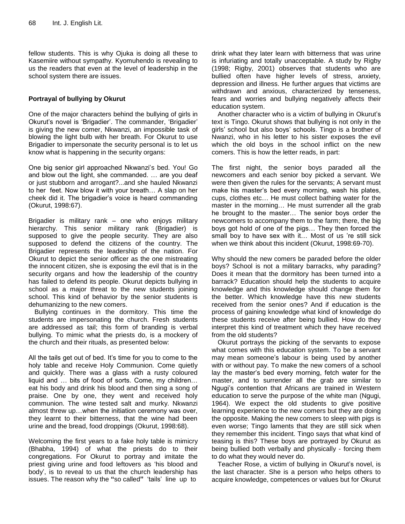fellow students. This is why Ojuka is doing all these to Kasemiire without sympathy. Kyomuhendo is revealing to us the readers that even at the level of leadership in the school system there are issues.

### **Portrayal of bullying by Okurut**

One of the major characters behind the bullying of girls in Okurut"s novel is "Brigadier". The commander, "Brigadier" is giving the new comer, Nkwanzi, an impossible task of blowing the light bulb with her breath. For Okurut to use Brigadier to impersonate the security personal is to let us know what is happening in the security organs:

One big senior girl approached Nkwanzi"s bed. You! Go and blow out the light, she commanded. … are you deaf or just stubborn and arrogant?...and she hauled Nkwanzi to her feet. Now blow it with your breath… A slap on her cheek did it. The brigadier"s voice is heard commanding (Okurut, 1998:67).

Brigadier is military rank – one who enjoys military hierarchy. This senior military rank (Brigadier) is supposed to give the people security. They are also supposed to defend the citizens of the country. The Brigadier represents the leadership of the nation. For Okurut to depict the senior officer as the one mistreating the innocent citizen, she is exposing the evil that is in the security organs and how the leadership of the country has failed to defend its people. Okurut depicts bullying in school as a major threat to the new students joining school. This kind of behavior by the senior students is dehumanizing to the new comers.

Bullying continues in the dormitory. This time the students are impersonating the church. Fresh students are addressed as tail; this form of branding is verbal bullying. To mimic what the priests do, is a mockery of the church and their rituals, as presented below:

All the tails get out of bed. It's time for you to come to the holy table and receive Holy Communion. Come quietly and quickly. There was a glass with a rusty coloured liquid and … bits of food of sorts. Come, my children… eat his body and drink his blood and then sing a song of praise. One by one, they went and received holy communion. The wine tested salt and murky. Nkwanzi almost threw up…when the initiation ceremony was over, they learnt to their bitterness, that the wine had been urine and the bread, food droppings (Okurut, 1998:68).

Welcoming the first years to a fake holy table is mimicry (Bhabha, 1994) of what the priests do to their congregations. For Okurut to portray and imitate the priest giving urine and food leftovers as "his blood and body", is to reveal to us that the church leadership has issues. The reason why the **"**so called**"** "tails" line up to

drink what they later learn with bitterness that was urine is infuriating and totally unacceptable. A study by Rigby (1998; Rigby, 2001) observes that students who are bullied often have higher levels of stress, anxiety, depression and illness. He further argues that victims are withdrawn and anxious, characterized by tenseness, fears and worries and bullying negatively affects their education system.

Another character who is a victim of bullying in Okurut"s text is Tingo. Okurut shows that bullying is not only in the girls" school but also boys" schools. Tingo is a brother of Nwanzi, who in his letter to his sister exposes the evil which the old boys in the school inflict on the new comers. This is how the letter reads, in part:

The first night, the senior boys paraded all the newcomers and each senior boy picked a servant. We were then given the rules for the servants; A servant must make his master's bed every morning, wash his plates, cups, clothes etc… He must collect bathing water for the master in the morning… He must surrender all the grab he brought to the master… The senior boys order the newcomers to accompany them to the farm; there, the big boys got hold of one of the pigs… They then forced the small boy to have sex with it… Most of us "re still sick when we think about this incident (Okurut, 1998:69-70).

Why should the new comers be paraded before the older boys? School is not a military barracks, why parading? Does it mean that the dormitory has been turned into a barrack? Education should help the students to acquire knowledge and this knowledge should change them for the better. Which knowledge have this new students received from the senior ones? And if education is the process of gaining knowledge what kind of knowledge do these students receive after being bullied. How do they interpret this kind of treatment which they have received from the old students?

Okurut portrays the picking of the servants to expose what comes with this education system. To be a servant may mean someone"s labour is being used by another with or without pay. To make the new comers of a school lay the master"s bed every morning, fetch water for the master, and to surrender all the grab are similar to Nguai's contention that Africans are trained in Western education to serve the purpose of the white man (Ngugi, 1964). We expect the old students to give positive learning experience to the new comers but they are doing the opposite. Making the new comers to sleep with pigs is even worse; Tingo laments that they are still sick when they remember this incident. Tingo says that what kind of teasing is this? These boys are portrayed by Okurut as being bullied both verbally and physically - forcing them to do what they would never do.

Teacher Rose, a victim of bullying in Okurut"s novel, is the last character. She is a person who helps others to acquire knowledge, competences or values but for Okurut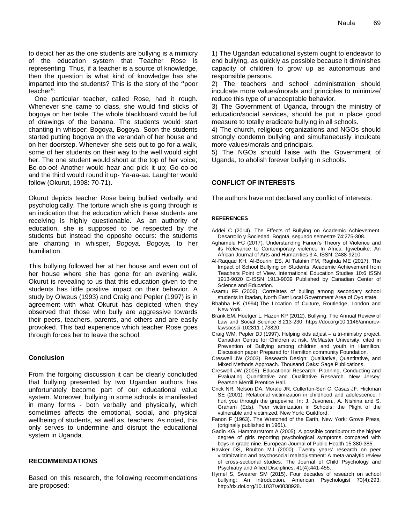to depict her as the one students are bullying is a mimicry of the education system that Teacher Rose is representing. Thus, if a teacher is a source of knowledge, then the question is what kind of knowledge has she imparted into the students? This is the story of the **"**poor teacher**"**:

One particular teacher, called Rose, had it rough. Whenever she came to class, she would find sticks of bogoya on her table. The whole blackboard would be full of drawings of the banana. The students would start chanting in whisper: Bogoya, Bogoya. Soon the students started putting bogoya on the verandah of her house and on her doorstep. Whenever she sets out to go for a walk, some of her students on their way to the well would sight her. The one student would shout at the top of her voice; Bo-oo-oo! Another would hear and pick it up; Go-oo-oo and the third would round it up- Ya-aa-aa. Laughter would follow (Okurut, 1998: 70-71).

Okurut depicts teacher Rose being bullied verbally and psychologically. The torture which she is going through is an indication that the education which these students are receiving is highly questionable. As an authority of education, she is supposed to be respected by the students but instead the opposite occurs: the students are chanting in whisper, *Bogoya, Bogoya,* to her humiliation.

This bullying followed her at her house and even out of her house where she has gone for an evening walk. Okurut is revealing to us that this education given to the students has little positive impact on their behavior. A study by Olweus (1993) and Craig and Pepler (1997) is in agreement with what Okurut has depicted when they observed that those who bully are aggressive towards their peers, teachers, parents, and others and are easily provoked. This bad experience which teacher Rose goes through forces her to leave the school.

### **Conclusion**

From the forgoing discussion it can be clearly concluded that bullying presented by two Ugandan authors has unfortunately become part of our educational value system. Moreover, bullying in some schools is manifested in many forms - both verbally and physically, which sometimes affects the emotional, social, and physical wellbeing of students, as well as, teachers. As noted, this only serves to undermine and disrupt the educational system in Uganda.

### **RECOMMENDATIONS**

Based on this research, the following recommendations are proposed:

1) The Ugandan educational system ought to endeavor to end bullying, as quickly as possible because it diminishes capacity of children to grow up as autonomous and responsible persons.

2) The teachers and school administration should inculcate more values/morals and principles to minimize/ reduce this type of unacceptable behavior.

3) The Government of Uganda, through the ministry of education/social services, should be put in place good measure to totally eradicate bullying in all schools.

4) The church, religious organizations and NGOs should strongly condemn bullying and simultaneously inculcate more values/morals and principals.

5) The NGOs should liaise with the Government of Uganda, to abolish forever bullying in schools.

### **CONFLICT OF INTERESTS**

The authors have not declared any conflict of interests.

### **REFERENCES**

- Addei C (2014). The Effects of Bullying on Academic Achievement. Desarrollo y Sociedad. Bogotá, segundo semestre 74:275-308.
- Aghamelu FC (2017). Understanding Fanon"s Theory of Violence and its Relevance to Contemporary violence In Africa: Igwebuike: An African Journal of Arts and Humanities 3:4. ISSN: 2488-9210.
- Al-Raqqad KH, Al-Bourini ES, Al Talahin FM, Raghda ME (2017). The Impact of School Bullying on Students" Academic Achievement from Teachers Point of View. International Education Studies 10:6 ISSN 1913-9020 E-ISSN 1913-9039 Published by Canadian Center of Science and Education.
- Asamu FF (2006). Correlates of bulling among secondary school students in Ibadan, North East Local Government Area of Oyo state.
- Bhabha HK (1994).The Location of Culture, Routledge, London and New York.
- Brank EM, Hoetger L, Hazen KP (2012). Bullying. The Annual Review of Law and Social Science 8:213-230. https://doi.org/10.1146/annurevlawsocsci-102811-173820.
- Craig WM, Pepler DJ (1997). Helping kids adjust a tri-ministry project. Canadian Centre for Children at risk. McMaster University, cited in Prevention of Bullying among children and youth in Hamilton. Discussion paper Prepared for Hamilton community Foundation.
- Creswell JW (2003). Research Design: Qualitative, Quantitative, and Mixed Methods Approach. Thousand Oaks: Sage Publications.
- Creswell JW (2005). Educational Research: Planning, Conducting and Evaluating Quantitative and Qualitative Research. New Jersey: Pearson Merrill Prentice Hall.
- Crick NR, Nelson DA, Morale JR, Cullerton-Sen C, Casas JF, Hickman SE (2001). Relational victimization in childhood and adolescence: I hurt you through the grapevine. In: J. Juvonen., A. Nishina and S. Graham (Eds). Peer victimization in Schools: the Plight of the vulnerable and victimized. New York: Guildford.
- Fanon F (1963). The Wretched of the Earth, New York: Grove Press, (originally published in 1961).
- Gadin KG, Hammarrstrom A (2005). A possible contributor to the higher degree of girls reporting psychological symptoms compared with boys in grade nine. European Journal of Public Health 15:380-385.
- Hawker DS, Boulton MJ (2000). Twenty years' research on peer victimization and psychosocial maladjustment: A meta-analytic review of cross-sectional studies. The Journal of Child Psychology and Psychiatry and Allied Disciplines. 41(4):441-455.
- Hymel S, Swearer SM (2015). Four decades of research on school bullying: An introduction. American Psychologist 70(4):293. http://dx.doi.org/10.1037/a0038928.